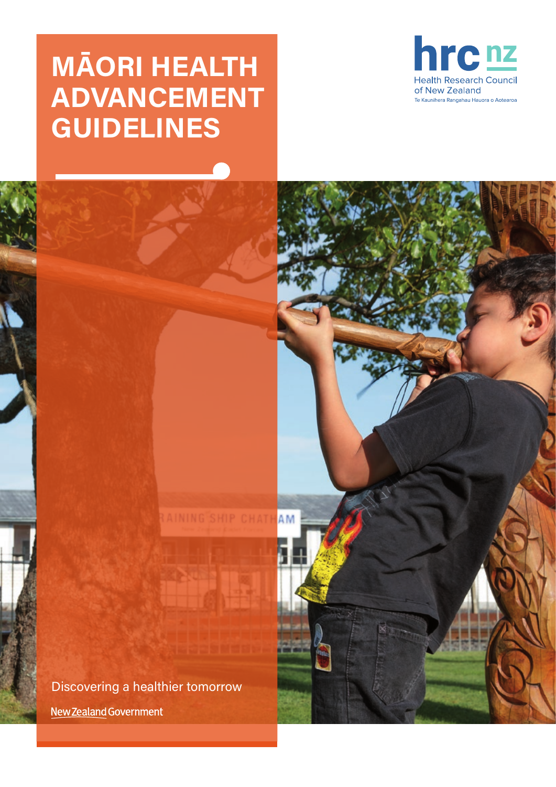# **MĀORI HEALTH ADVANCEMENT GUIDELINES**



AM

INING SHIP CHATH

Discovering a healthier tomorrowNew Zealand Government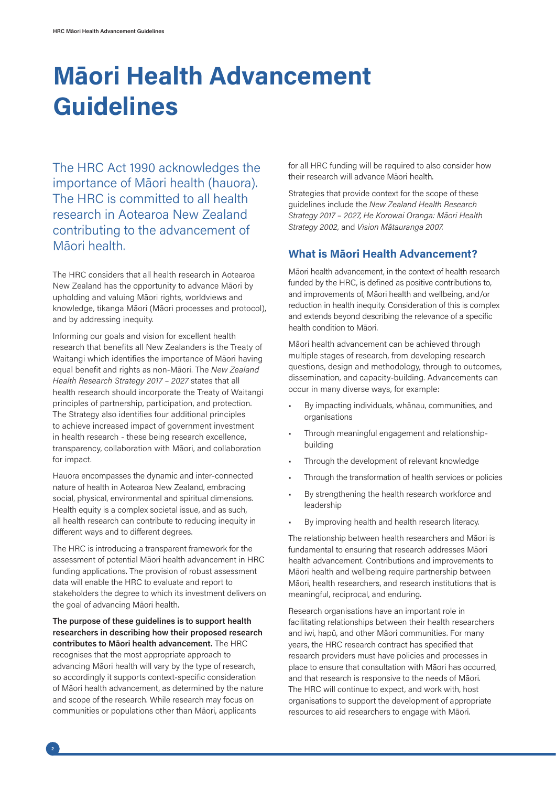# **Māori Health Advancement Guidelines**

The HRC Act 1990 acknowledges the importance of Māori health (hauora). The HRC is committed to all health research in Aotearoa New Zealand contributing to the advancement of Māori health.

The HRC considers that all health research in Aotearoa New Zealand has the opportunity to advance Māori by upholding and valuing Māori rights, worldviews and knowledge, tikanga Māori (Māori processes and protocol), and by addressing inequity.

Informing our goals and vision for excellent health research that benefits all New Zealanders is the Treaty of Waitangi which identifies the importance of Māori having equal benefit and rights as non-Māori. The *New Zealand Health Research Strategy 2017 – 2027* states that all health research should incorporate the Treaty of Waitangi principles of partnership, participation, and protection. The Strategy also identifies four additional principles to achieve increased impact of government investment in health research - these being research excellence, transparency, collaboration with Māori, and collaboration for impact.

Hauora encompasses the dynamic and inter-connected nature of health in Aotearoa New Zealand, embracing social, physical, environmental and spiritual dimensions. Health equity is a complex societal issue, and as such, all health research can contribute to reducing inequity in different ways and to different degrees.

The HRC is introducing a transparent framework for the assessment of potential Māori health advancement in HRC funding applications. The provision of robust assessment data will enable the HRC to evaluate and report to stakeholders the degree to which its investment delivers on the goal of advancing Māori health.

**The purpose of these guidelines is to support health researchers in describing how their proposed research contributes to Māori health advancement.** The HRC recognises that the most appropriate approach to advancing Māori health will vary by the type of research, so accordingly it supports context-specific consideration of Māori health advancement, as determined by the nature and scope of the research. While research may focus on communities or populations other than Māori, applicants

for all HRC funding will be required to also consider how their research will advance Māori health.

Strategies that provide context for the scope of these guidelines include the *New Zealand Health Research Strategy 2017 – 2027, He Korowai Oranga: Māori Health Strategy 2002,* and *Vision Mātauranga 2007.*

## **What is Māori Health Advancement?**

Māori health advancement, in the context of health research funded by the HRC, is defined as positive contributions to, and improvements of, Māori health and wellbeing, and/or reduction in health inequity. Consideration of this is complex and extends beyond describing the relevance of a specific health condition to Māori.

Māori health advancement can be achieved through multiple stages of research, from developing research questions, design and methodology, through to outcomes, dissemination, and capacity-building. Advancements can occur in many diverse ways, for example:

- By impacting individuals, whānau, communities, and organisations
- Through meaningful engagement and relationshipbuilding
- Through the development of relevant knowledge
- Through the transformation of health services or policies
- By strengthening the health research workforce and leadership
- By improving health and health research literacy.

The relationship between health researchers and Māori is fundamental to ensuring that research addresses Māori health advancement. Contributions and improvements to Māori health and wellbeing require partnership between Māori, health researchers, and research institutions that is meaningful, reciprocal, and enduring.

Research organisations have an important role in facilitating relationships between their health researchers and iwi, hapū, and other Māori communities. For many years, the HRC research contract has specified that research providers must have policies and processes in place to ensure that consultation with Māori has occurred, and that research is responsive to the needs of Māori. The HRC will continue to expect, and work with, host organisations to support the development of appropriate resources to aid researchers to engage with Māori.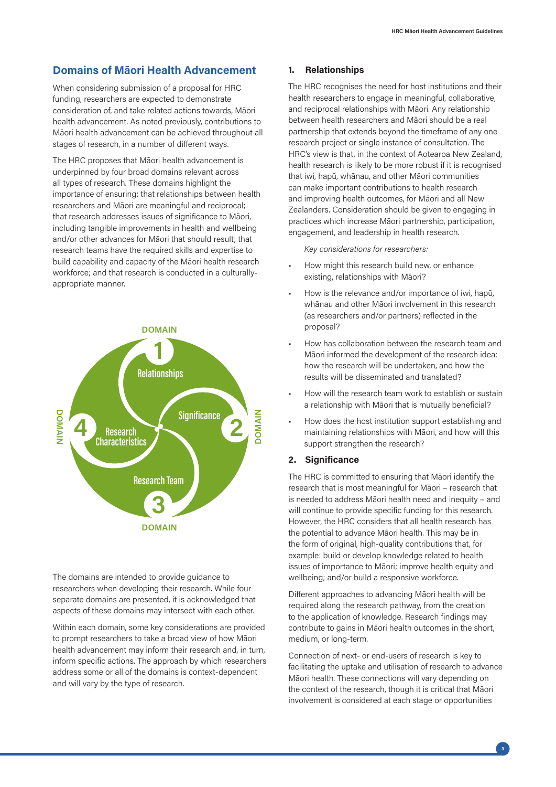### **Domains of Māori Health Advancement**

When considering submission of a proposal for HRC funding, researchers are expected to demonstrate consideration of, and take related actions towards, Māori health advancement. As noted previously, contributions to Māori health advancement can be achieved throughout all stages of research, in a number of different ways.

The HRC proposes that Māori health advancement is underpinned by four broad domains relevant across all types of research. These domains highlight the importance of ensuring: that relationships between health researchers and Māori are meaningful and reciprocal; that research addresses issues of significance to Māori, including tangible improvements in health and wellbeing and/or other advances for Māori that should result; that research teams have the required skills and expertise to build capability and capacity of the Māori health research workforce; and that research is conducted in a culturallyappropriate manner.



The domains are intended to provide guidance to researchers when developing their research. While four separate domains are presented, it is acknowledged that aspects of these domains may intersect with each other.

Within each domain, some key considerations are provided to prompt researchers to take a broad view of how Māori health advancement may inform their research and, in turn, inform specific actions. The approach by which researchers address some or all of the domains is context-dependent and will vary by the type of research.

#### **1. Relationships**

The HRC recognises the need for host institutions and their health researchers to engage in meaningful, collaborative, and reciprocal relationships with Māori. Any relationship between health researchers and Māori should be a real partnership that extends beyond the timeframe of any one research project or single instance of consultation. The HRC's view is that, in the context of Aotearoa New Zealand, health research is likely to be more robust if it is recognised that iwi, hapū, whānau, and other Māori communities can make important contributions to health research and improving health outcomes, for Māori and all New Zealanders. Consideration should be given to engaging in practices which increase Māori partnership, participation, engagement, and leadership in health research.

*Key considerations for researchers:*

- How might this research build new, or enhance existing, relationships with Māori?
- How is the relevance and/or importance of iwi, hapū, whānau and other Māori involvement in this research (as researchers and/or partners) reflected in the proposal?
- How has collaboration between the research team and Māori informed the development of the research idea; how the research will be undertaken, and how the results will be disseminated and translated?
- How will the research team work to establish or sustain a relationship with Māori that is mutually beneficial?
- How does the host institution support establishing and maintaining relationships with Māori, and how will this support strengthen the research?

#### **2. Significance**

The HRC is committed to ensuring that Māori identify the research that is most meaningful for Māori – research that is needed to address Māori health need and inequity – and will continue to provide specific funding for this research. However, the HRC considers that all health research has the potential to advance Māori health. This may be in the form of original, high-quality contributions that, for example: build or develop knowledge related to health issues of importance to Māori; improve health equity and wellbeing; and/or build a responsive workforce.

Different approaches to advancing Māori health will be required along the research pathway, from the creation to the application of knowledge. Research findings may contribute to gains in Māori health outcomes in the short, medium, or long-term.

Connection of next- or end-users of research is key to facilitating the uptake and utilisation of research to advance Māori health. These connections will vary depending on the context of the research, though it is critical that Māori involvement is considered at each stage or opportunities

**3**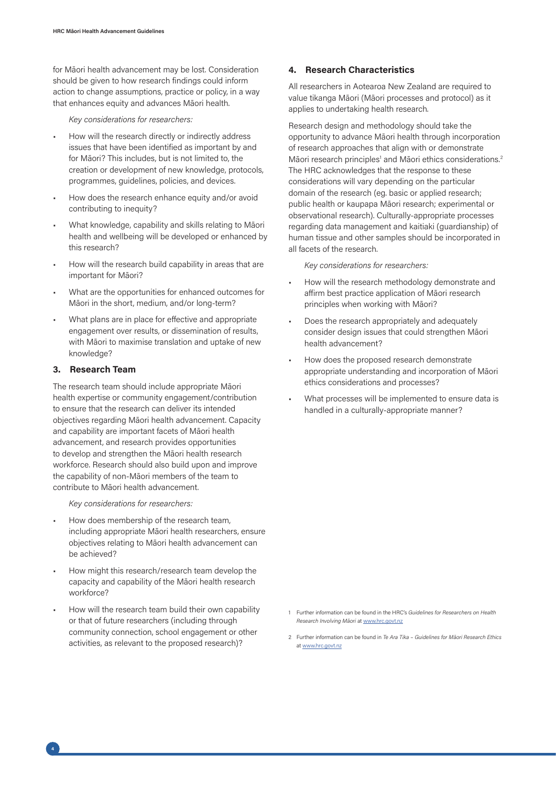for Māori health advancement may be lost. Consideration should be given to how research findings could inform action to change assumptions, practice or policy, in a way that enhances equity and advances Māori health.

#### *Key considerations for researchers:*

- How will the research directly or indirectly address issues that have been identified as important by and for Māori? This includes, but is not limited to, the creation or development of new knowledge, protocols, programmes, guidelines, policies, and devices.
- How does the research enhance equity and/or avoid contributing to inequity?
- What knowledge, capability and skills relating to Māori health and wellbeing will be developed or enhanced by this research?
- How will the research build capability in areas that are important for Māori?
- What are the opportunities for enhanced outcomes for Māori in the short, medium, and/or long-term?
- What plans are in place for effective and appropriate engagement over results, or dissemination of results, with Māori to maximise translation and uptake of new knowledge?

#### **3. Research Team**

The research team should include appropriate Māori health expertise or community engagement/contribution to ensure that the research can deliver its intended objectives regarding Māori health advancement. Capacity and capability are important facets of Māori health advancement, and research provides opportunities to develop and strengthen the Māori health research workforce. Research should also build upon and improve the capability of non-Māori members of the team to contribute to Māori health advancement.

*Key considerations for researchers:*

- How does membership of the research team, including appropriate Māori health researchers, ensure objectives relating to Māori health advancement can be achieved?
- How might this research/research team develop the capacity and capability of the Māori health research workforce?
- How will the research team build their own capability or that of future researchers (including through community connection, school engagement or other activities, as relevant to the proposed research)?

#### **4. Research Characteristics**

All researchers in Aotearoa New Zealand are required to value tikanga Māori (Māori processes and protocol) as it applies to undertaking health research.

Research design and methodology should take the opportunity to advance Māori health through incorporation of research approaches that align with or demonstrate Māori research principles<sup>1</sup> and Māori ethics considerations.<sup>2</sup> The HRC acknowledges that the response to these considerations will vary depending on the particular domain of the research (eg. basic or applied research; public health or kaupapa Māori research; experimental or observational research). Culturally-appropriate processes regarding data management and kaitiaki (guardianship) of human tissue and other samples should be incorporated in all facets of the research.

*Key considerations for researchers:*

- How will the research methodology demonstrate and affirm best practice application of Māori research principles when working with Māori?
- Does the research appropriately and adequately consider design issues that could strengthen Māori health advancement?
- How does the proposed research demonstrate appropriate understanding and incorporation of Māori ethics considerations and processes?
- What processes will be implemented to ensure data is handled in a culturally-appropriate manner?

- 1 Further information can be found in the HRC's *Guidelines for Researchers on Health Research Involving Māori* at www.hrc.govt.nz
- 2 Further information can be found in *Te Ara Tika Guidelines for Māori Research Ethics*  at www.hrc.govt.nz

**4**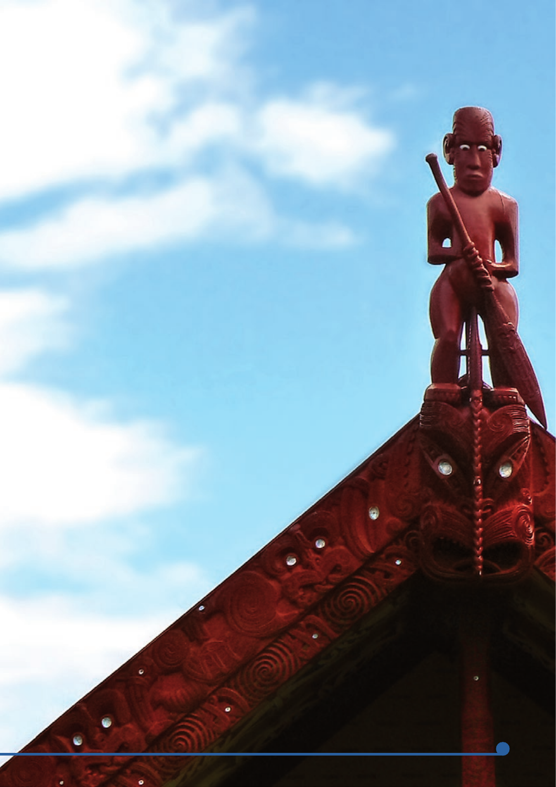